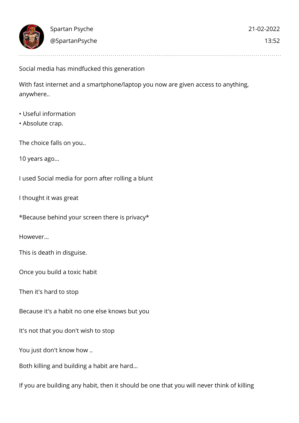Social media has mindfucked this generation

With fast internet and a smartphone/laptop you now are given access to anything, anywhere..

- Useful information
- Absolute crap.

The choice falls on you..

10 years ago...

I used Social media for porn after rolling a blunt

I thought it was great

\*Because behind your screen there is privacy\*

However...

This is death in disguise.

Once you build a toxic habit

Then it's hard to stop

Because it's a habit no one else knows but you

It's not that you don't wish to stop

You just don't know how ..

Both killing and building a habit are hard...

If you are building any habit, then it should be one that you will never think of killing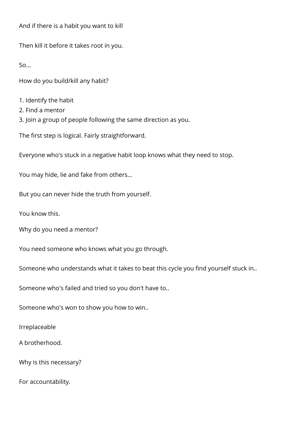And if there is a habit you want to kill

Then kill it before it takes root in you.

 $50<sub>0</sub>$ 

How do you build/kill any habit?

- 1. Identify the habit
- 2. Find a mentor
- 3. Join a group of people following the same direction as you.

The first step is logical. Fairly straightforward.

Everyone who's stuck in a negative habit loop knows what they need to stop.

You may hide, lie and fake from others...

But you can never hide the truth from yourself.

You know this.

Why do you need a mentor?

You need someone who knows what you go through.

Someone who understands what it takes to beat this cycle you find yourself stuck in..

Someone who's failed and tried so you don't have to..

Someone who's won to show you how to win..

Irreplaceable

A brotherhood.

Why is this necessary?

For accountability.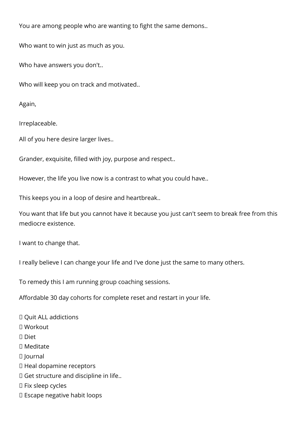You are among people who are wanting to fight the same demons..

Who want to win just as much as you.

Who have answers you don't..

Who will keep you on track and motivated..

Again,

Irreplaceable.

All of you here desire larger lives..

Grander, exquisite, filled with joy, purpose and respect..

However, the life you live now is a contrast to what you could have..

This keeps you in a loop of desire and heartbreak..

You want that life but you cannot have it because you just can't seem to break free from this mediocre existence.

I want to change that.

I really believe I can change your life and I've done just the same to many others.

To remedy this I am running group coaching sessions.

Affordable 30 day cohorts for complete reset and restart in your life.

Quit ALL addictions

Workout

Diet

□ Meditate

Journal

Heal dopamine receptors

Get structure and discipline in life..

Fix sleep cycles

Escape negative habit loops